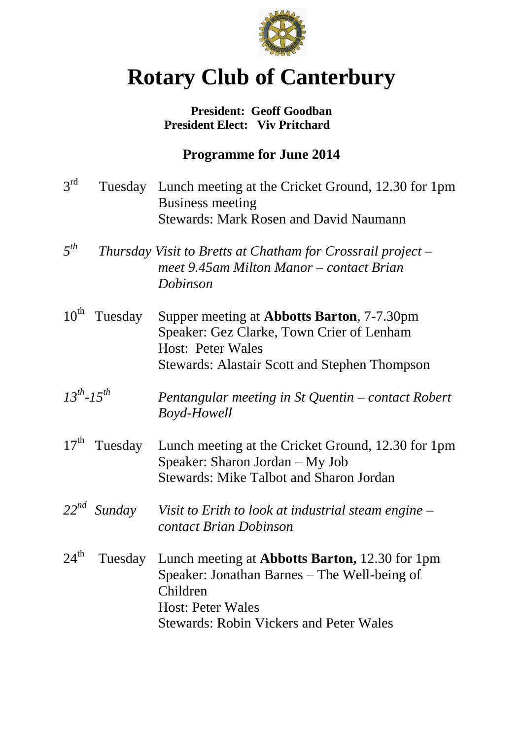

# **Rotary Club of Canterbury**

### **President: Geoff Goodban President Elect: Viv Pritchard**

## **Programme for June 2014**

3 rd Tuesday Lunch meeting at the Cricket Ground, 12.30 for 1pm Business meeting Stewards: Mark Rosen and David Naumann *5 th Thursday Visit to Bretts at Chatham for Crossrail project – meet 9.45am Milton Manor – contact Brian Dobinson* 10<sup>th</sup> Tuesday Supper meeting at **Abbotts Barton**, 7-7.30pm Speaker: Gez Clarke, Town Crier of Lenham Host: Peter Wales Stewards: Alastair Scott and Stephen Thompson  $13^{th}$ - $15^{th}$ *Pentangular meeting in St Quentin – contact Robert Boyd-Howell*  $17<sup>th</sup>$  Tuesday Lunch meeting at the Cricket Ground, 12.30 for 1pm Speaker: Sharon Jordan – My Job Stewards: Mike Talbot and Sharon Jordan *22nd Sunday Visit to Erith to look at industrial steam engine – contact Brian Dobinson*  $24^{\text{th}}$ Tuesday Lunch meeting at **Abbotts Barton,** 12.30 for 1pm Speaker: Jonathan Barnes – The Well-being of Children Host: Peter Wales Stewards: Robin Vickers and Peter Wales